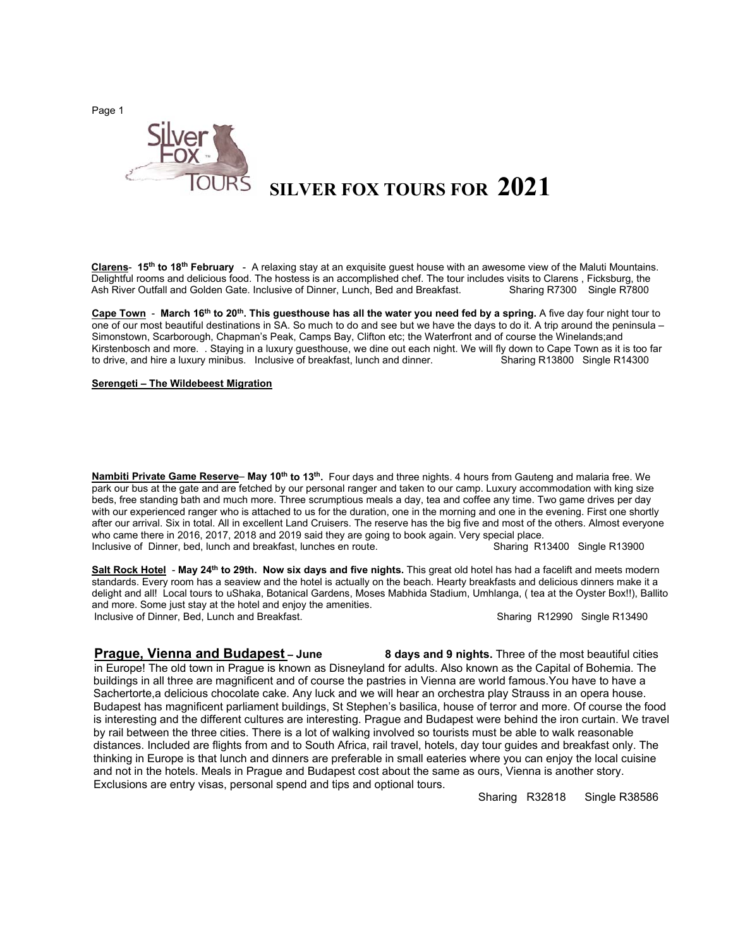Page 1



## **SILVER FOX TOURS FOR 2021**

 **Clarens**- **15th to 18th February** - A relaxing stay at an exquisite guest house with an awesome view of the Maluti Mountains. Delightful rooms and delicious food. The hostess is an accomplished chef. The tour includes visits to Clarens , Ficksburg, the Ash River Outfall and Golden Gate. Inclusive of Dinner, Lunch, Bed and Breakfast. Sharing R7300 Single R7800<br> **Ash River Outfall and Golden Gate. Inclusive of Dinner, Lunch, Bed and Breakfast.** 

**Cape Town** - **March 16th to 20th. This guesthouse has all the water you need fed by a spring.** A five day four night tour to one of our most beautiful destinations in SA. So much to do and see but we have the days to do it. A trip around the peninsula – Simonstown, Scarborough, Chapman's Peak, Camps Bay, Clifton etc; the Waterfront and of course the Winelands;and Kirstenbosch and more. . Staying in a luxury guesthouse, we dine out each night. We will fly down to Cape Town as it is too far to drive, and hire a luxury minibus. Inclusive of breakfast, lunch and dinner. Sharing R13800 Single R14300

**Serengeti – The Wildebeest Migration** 

**Nambiti Private Game Reserve**– **May 10th to 13th.** Four days and three nights. 4 hours from Gauteng and malaria free. We park our bus at the gate and are fetched by our personal ranger and taken to our camp. Luxury accommodation with king size beds, free standing bath and much more. Three scrumptious meals a day, tea and coffee any time. Two game drives per day with our experienced ranger who is attached to us for the duration, one in the morning and one in the evening. First one shortly after our arrival. Six in total. All in excellent Land Cruisers. The reserve has the big five and most of the others. Almost everyone who came there in 2016, 2017, 2018 and 2019 said they are going to book again. Very special place.<br>Inclusive of Dinner, bed, lunch and breakfast, lunches en route. Sharing R13400 Single R13900 Inclusive of Dinner, bed, lunch and breakfast, lunches en route.

**Salt Rock Hotel** - **May 24th to 29th. Now six days and five nights.** This great old hotel has had a facelift and meets modern standards. Every room has a seaview and the hotel is actually on the beach. Hearty breakfasts and delicious dinners make it a delight and all! Local tours to uShaka, Botanical Gardens, Moses Mabhida Stadium, Umhlanga, ( tea at the Oyster Box!!), Ballito and more. Some just stay at the hotel and enjoy the amenities. Inclusive of Dinner, Bed, Lunch and Breakfast. Sharing R12990 Single R13490

**Prague, Vienna and Budapest – June 8 days and 9 nights.** Three of the most beautiful cities in Europe! The old town in Prague is known as Disneyland for adults. Also known as the Capital of Bohemia. The buildings in all three are magnificent and of course the pastries in Vienna are world famous.You have to have a Sachertorte,a delicious chocolate cake. Any luck and we will hear an orchestra play Strauss in an opera house. Budapest has magnificent parliament buildings, St Stephen's basilica, house of terror and more. Of course the food is interesting and the different cultures are interesting. Prague and Budapest were behind the iron curtain. We travel by rail between the three cities. There is a lot of walking involved so tourists must be able to walk reasonable distances. Included are flights from and to South Africa, rail travel, hotels, day tour guides and breakfast only. The thinking in Europe is that lunch and dinners are preferable in small eateries where you can enjoy the local cuisine and not in the hotels. Meals in Prague and Budapest cost about the same as ours, Vienna is another story. Exclusions are entry visas, personal spend and tips and optional tours.

Sharing R32818 Single R38586